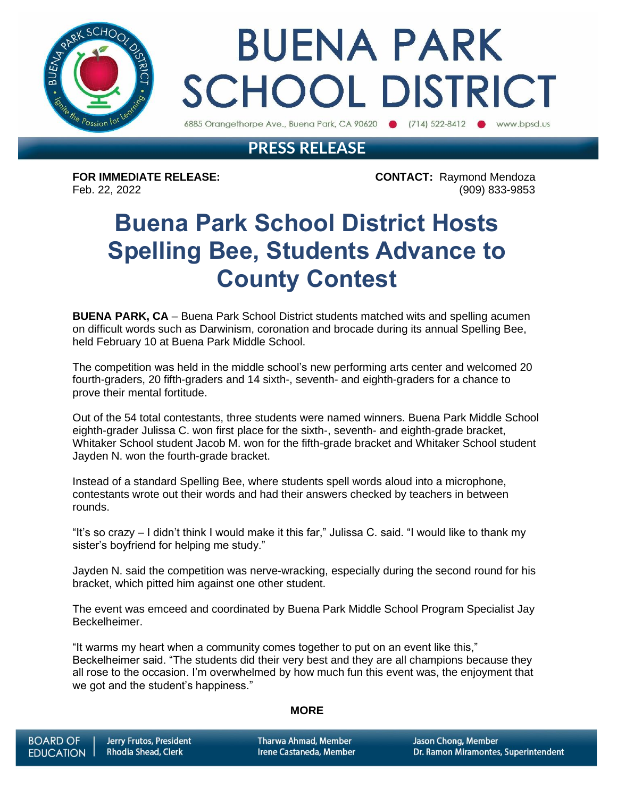

# **BUENA PARK SCHOOL DISTRICT**

6885 Orangethorpe Ave., Buena Park, CA 90620 (714) 522-8412 www.bpsd.us

### **PRESS RELEASE**

**FOR IMMEDIATE RELEASE: CONTACT:** Raymond Mendoza Feb. 22, 2022 (909) 833-9853

### **Buena Park School District Hosts Spelling Bee, Students Advance to County Contest**

**BUENA PARK, CA** – Buena Park School District students matched wits and spelling acumen on difficult words such as Darwinism, coronation and brocade during its annual Spelling Bee, held February 10 at Buena Park Middle School.

The competition was held in the middle school's new performing arts center and welcomed 20 fourth-graders, 20 fifth-graders and 14 sixth-, seventh- and eighth-graders for a chance to prove their mental fortitude.

Out of the 54 total contestants, three students were named winners. Buena Park Middle School eighth-grader Julissa C. won first place for the sixth-, seventh- and eighth-grade bracket, Whitaker School student Jacob M. won for the fifth-grade bracket and Whitaker School student Jayden N. won the fourth-grade bracket.

Instead of a standard Spelling Bee, where students spell words aloud into a microphone, contestants wrote out their words and had their answers checked by teachers in between rounds.

"It's so crazy – I didn't think I would make it this far," Julissa C. said. "I would like to thank my sister's boyfriend for helping me study."

Jayden N. said the competition was nerve-wracking, especially during the second round for his bracket, which pitted him against one other student.

The event was emceed and coordinated by Buena Park Middle School Program Specialist Jay Beckelheimer.

"It warms my heart when a community comes together to put on an event like this," Beckelheimer said. "The students did their very best and they are all champions because they all rose to the occasion. I'm overwhelmed by how much fun this event was, the enjoyment that we got and the student's happiness."

#### **MORE**

**Tharwa Ahmad, Member** Irene Castaneda, Member